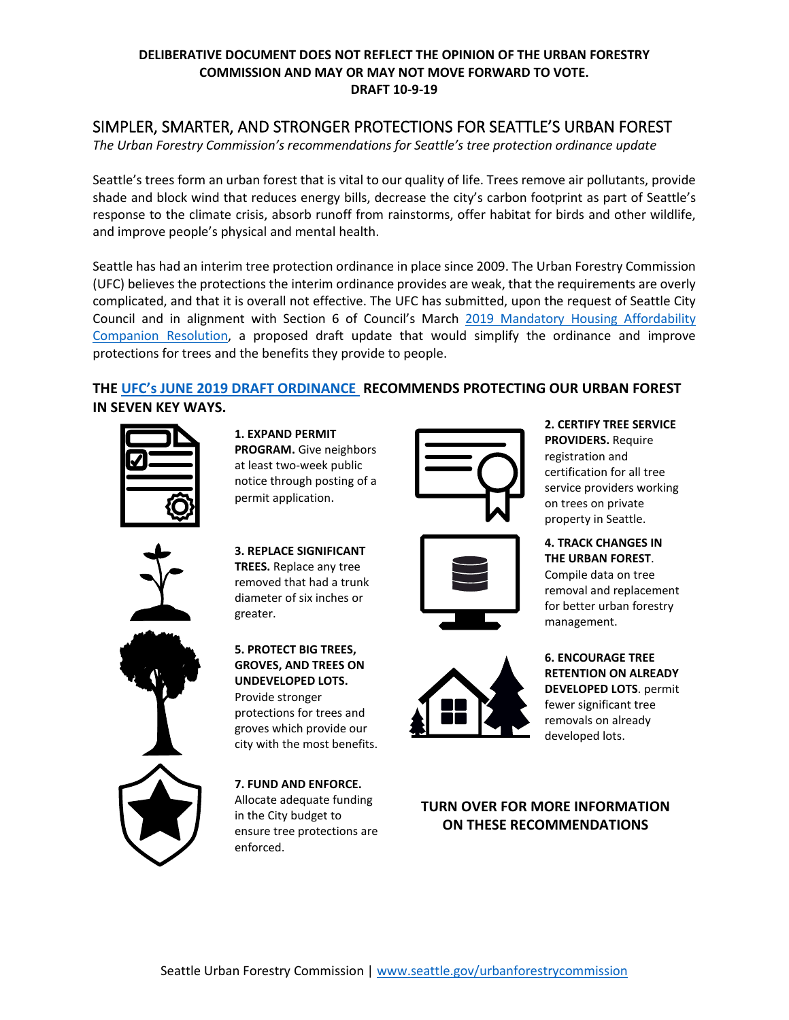#### **DELIBERATIVE DOCUMENT DOES NOT REFLECT THE OPINION OF THE URBAN FORESTRY COMMISSION AND MAY OR MAY NOT MOVE FORWARD TO VOTE. DRAFT 10-9-19**

# SIMPLER, SMARTER, AND STRONGER PROTECTIONS FOR SEATTLE'S URBAN FOREST

*The Urban Forestry Commission's recommendations for Seattle's tree protection ordinance update*

Seattle's trees form an urban forest that is vital to our quality of life. Trees remove air pollutants, provide shade and block wind that reduces energy bills, decrease the city's carbon footprint as part of Seattle's response to the climate crisis, absorb runoff from rainstorms, offer habitat for birds and other wildlife, and improve people's physical and mental health.

Seattle has had an interim tree protection ordinance in place since 2009. The Urban Forestry Commission (UFC) believes the protections the interim ordinance provides are weak, that the requirements are overly complicated, and that it is overall not effective. The UFC has submitted, upon the request of Seattle City Council and in alignment with Section 6 of Council's March [2019 Mandatory Housing Affordability](http://seattle.legistar.com/LegislationDetail.aspx?ID=3881345&GUID=3FB1D1A4-A9D9-4739-A789-EC7DB5621491&FullText=1)  [Companion Resolution,](http://seattle.legistar.com/LegislationDetail.aspx?ID=3881345&GUID=3FB1D1A4-A9D9-4739-A789-EC7DB5621491&FullText=1) a proposed draft update that would simplify the ordinance and improve protections for trees and the benefits they provide to people.

### **THE UFC's JUNE 2019 [DRAFT ORDINANCE](https://www.seattle.gov/Documents/Departments/UrbanForestryCommission/2019/2019docs/OutlineandDraftUFCTreeProtectionRegs070219FullDoc.pdf) RECOMMENDS PROTECTING OUR URBAN FOREST IN SEVEN KEY WAYS.**



**1. EXPAND PERMIT PROGRAM.** Give neighbors at least two-week public notice through posting of a permit application.



**3. REPLACE SIGNIFICANT TREES.** Replace any tree removed that had a trunk diameter of six inches or greater.



**5. PROTECT BIG TREES, GROVES, AND TREES ON UNDEVELOPED LOTS.** Provide stronger protections for trees and groves which provide our city with the most benefits.



**7. FUND AND ENFORCE.**  Allocate adequate funding in the City budget to ensure tree protections are enforced.





**2. CERTIFY TREE SERVICE PROVIDERS.** Require registration and certification for all tree service providers working on trees on private property in Seattle.

**4. TRACK CHANGES IN THE URBAN FOREST**. Compile data on tree removal and replacement for better urban forestry management.

**6. ENCOURAGE TREE RETENTION ON ALREADY DEVELOPED LOTS**. permit fewer significant tree removals on already developed lots.

## **TURN OVER FOR MORE INFORMATION ON THESE RECOMMENDATIONS**